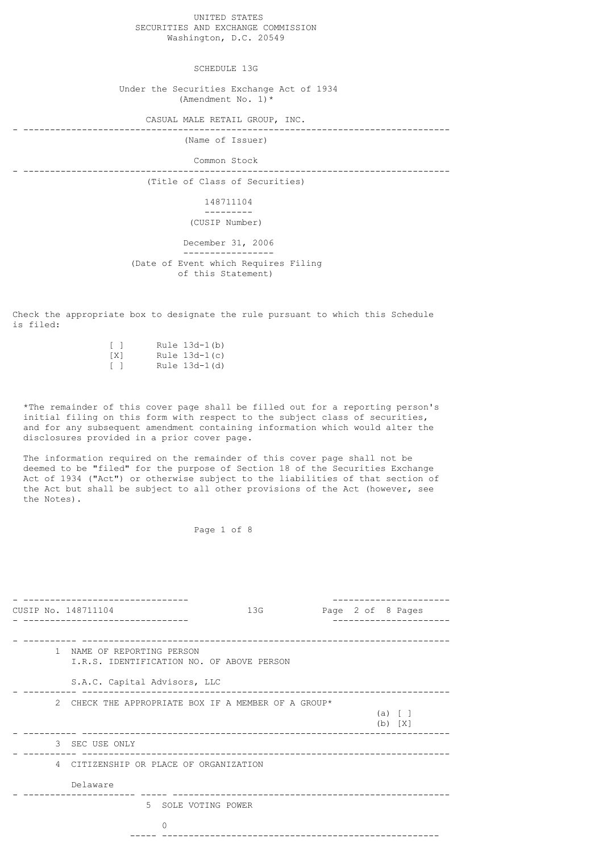UNITED STATES SECURITIES AND EXCHANGE COMMISSION Washington, D.C. 20549

SCHEDULE 13G

 Under the Securities Exchange Act of 1934 (Amendment No. 1)  $*$ 

 CASUAL MALE RETAIL GROUP, INC. - --------------------------------------------------------------------------------

(Name of Issuer)

 Common Stock - --------------------------------------------------------------------------------

(Title of Class of Securities)

 148711104 ---------

(CUSIP Number)

 December 31, 2006 ----------------- (Date of Event which Requires Filing of this Statement)

Check the appropriate box to designate the rule pursuant to which this Schedule is filed:

| $\lceil$ 1 |  | Rule $13d-1(b)$ |
|------------|--|-----------------|
| TX1        |  | Rule $13d-1(c)$ |
| $\sqrt{1}$ |  | Rule 13d-1(d)   |

 \*The remainder of this cover page shall be filled out for a reporting person's initial filing on this form with respect to the subject class of securities, and for any subsequent amendment containing information which would alter the disclosures provided in a prior cover page.

 The information required on the remainder of this cover page shall not be deemed to be "filed" for the purpose of Section 18 of the Securities Exchange Act of 1934 ("Act") or otherwise subject to the liabilities of that section of the Act but shall be subject to all other provisions of the Act (however, see the Notes).

Page 1 of 8

|   | CUSIP No. 148711104                                                     | 13G |  | Page 2 of 8 Pages      |  |
|---|-------------------------------------------------------------------------|-----|--|------------------------|--|
|   | 1 NAME OF REPORTING PERSON<br>I.R.S. IDENTIFICATION NO. OF ABOVE PERSON |     |  |                        |  |
|   | S.A.C. Capital Advisors, LLC                                            |     |  |                        |  |
| 2 | CHECK THE APPROPRIATE BOX IF A MEMBER OF A GROUP*                       |     |  | (a) [ ]<br>$(b)$ $[X]$ |  |
|   | 3 SEC USE ONLY                                                          |     |  |                        |  |
|   | 4 CITIZENSHIP OR PLACE OF ORGANIZATION                                  |     |  |                        |  |
|   | Delaware                                                                |     |  |                        |  |
|   | 5 SOLE VOTING POWER                                                     |     |  |                        |  |
|   | $\Omega$                                                                |     |  |                        |  |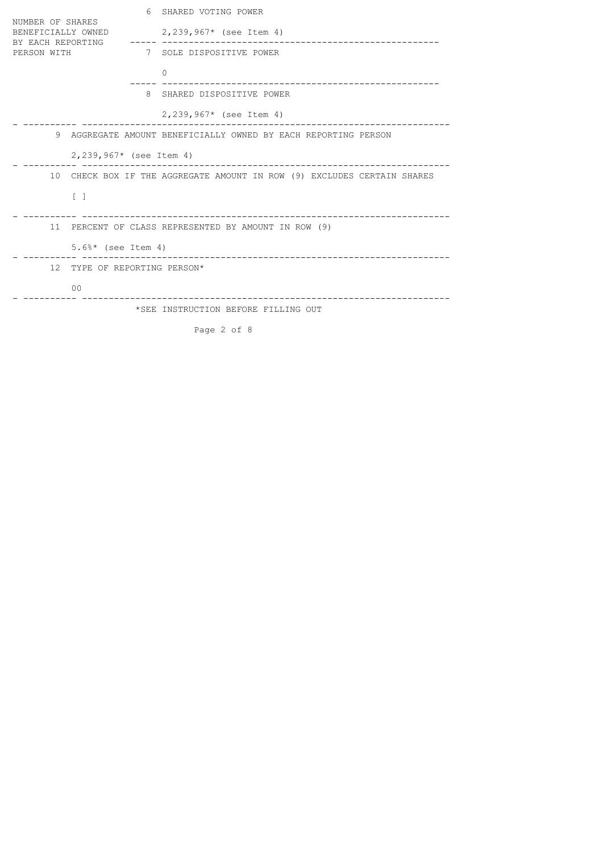|                                                                            | 6                                                                       | SHARED VOTING POWER                 |  |  |  |  |
|----------------------------------------------------------------------------|-------------------------------------------------------------------------|-------------------------------------|--|--|--|--|
| NUMBER OF SHARES<br>BENEFICIALLY OWNED<br>BY EACH REPORTING<br>PERSON WITH |                                                                         | $2,239,967*$ (see Item 4)           |  |  |  |  |
|                                                                            |                                                                         | 7 SOLE DISPOSITIVE POWER            |  |  |  |  |
|                                                                            |                                                                         | $\Omega$                            |  |  |  |  |
|                                                                            |                                                                         | 8 SHARED DISPOSITIVE POWER          |  |  |  |  |
|                                                                            |                                                                         | $2,239,967*$ (see Item 4)           |  |  |  |  |
| 9 AGGREGATE AMOUNT BENEFICIALLY OWNED BY EACH REPORTING PERSON             |                                                                         |                                     |  |  |  |  |
|                                                                            | 2,239,967* (see Item 4)                                                 |                                     |  |  |  |  |
|                                                                            | 10 CHECK BOX IF THE AGGREGATE AMOUNT IN ROW (9) EXCLUDES CERTAIN SHARES |                                     |  |  |  |  |
| $\lceil$ $\rceil$                                                          |                                                                         |                                     |  |  |  |  |
|                                                                            | 11 PERCENT OF CLASS REPRESENTED BY AMOUNT IN ROW (9)                    |                                     |  |  |  |  |
|                                                                            | $5.6\%*$ (see Item 4)                                                   |                                     |  |  |  |  |
|                                                                            | 12 TYPE OF REPORTING PERSON*                                            |                                     |  |  |  |  |
| 0 <sup>0</sup>                                                             |                                                                         |                                     |  |  |  |  |
|                                                                            |                                                                         | *SEE INSTRUCTION BEFORE FILLING OUT |  |  |  |  |
|                                                                            |                                                                         | Page 2 of 8                         |  |  |  |  |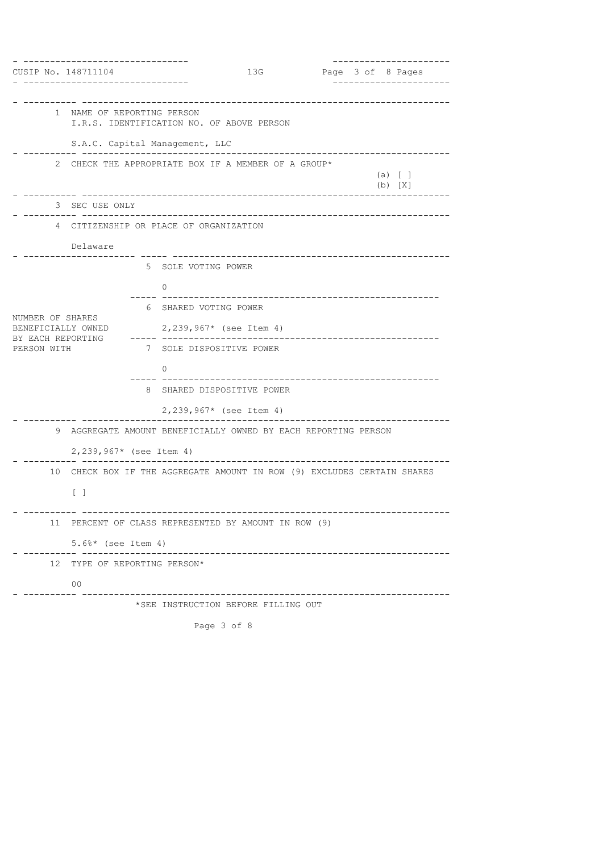| CUSIP No. 148711104                    |                                                                               |          | 13G                                       |                             |  |  |  | --------------<br>Page 3 of 8 Pages |
|----------------------------------------|-------------------------------------------------------------------------------|----------|-------------------------------------------|-----------------------------|--|--|--|-------------------------------------|
|                                        |                                                                               |          |                                           |                             |  |  |  |                                     |
|                                        | 1 NAME OF REPORTING PERSON                                                    |          | I.R.S. IDENTIFICATION NO. OF ABOVE PERSON |                             |  |  |  |                                     |
|                                        | S.A.C. Capital Management, LLC                                                |          |                                           |                             |  |  |  |                                     |
| 2                                      | CHECK THE APPROPRIATE BOX IF A MEMBER OF A GROUP*<br>$(a)$ [ ]<br>$(b)$ $[X]$ |          |                                           |                             |  |  |  |                                     |
|                                        | 3 SEC USE ONLY                                                                |          |                                           |                             |  |  |  |                                     |
|                                        | 4 CITIZENSHIP OR PLACE OF ORGANIZATION                                        |          |                                           |                             |  |  |  |                                     |
|                                        | Delaware                                                                      |          |                                           |                             |  |  |  |                                     |
|                                        |                                                                               |          | 5 SOLE VOTING POWER                       |                             |  |  |  |                                     |
|                                        |                                                                               | 0        |                                           | ___________________________ |  |  |  |                                     |
|                                        |                                                                               |          | 6 SHARED VOTING POWER                     |                             |  |  |  |                                     |
| NUMBER OF SHARES<br>BENEFICIALLY OWNED |                                                                               |          | $2,239,967*$ (see Item 4)                 |                             |  |  |  |                                     |
| BY EACH REPORTING<br>PERSON WITH       |                                                                               |          | 7 SOLE DISPOSITIVE POWER                  | ------------------          |  |  |  |                                     |
|                                        |                                                                               | $\Omega$ |                                           |                             |  |  |  |                                     |
|                                        |                                                                               |          | 8 SHARED DISPOSITIVE POWER                |                             |  |  |  |                                     |
|                                        |                                                                               |          | 2,239,967* (see Item 4)                   |                             |  |  |  |                                     |
| 9                                      | AGGREGATE AMOUNT BENEFICIALLY OWNED BY EACH REPORTING PERSON                  |          |                                           |                             |  |  |  |                                     |
|                                        | 2,239,967* (see Item 4)                                                       |          |                                           |                             |  |  |  |                                     |
| 10                                     | CHECK BOX IF THE AGGREGATE AMOUNT IN ROW (9) EXCLUDES CERTAIN SHARES          |          |                                           |                             |  |  |  |                                     |
|                                        | $\begin{bmatrix} 1 \end{bmatrix}$                                             |          |                                           |                             |  |  |  |                                     |
|                                        | 11 PERCENT OF CLASS REPRESENTED BY AMOUNT IN ROW (9)                          |          |                                           |                             |  |  |  |                                     |
|                                        | $5.6\%*$ (see Item 4)                                                         |          |                                           |                             |  |  |  |                                     |
|                                        | 12 TYPE OF REPORTING PERSON*                                                  |          |                                           |                             |  |  |  |                                     |
|                                        | 0 <sup>0</sup>                                                                |          |                                           |                             |  |  |  |                                     |
|                                        |                                                                               |          | *SEE INSTRUCTION BEFORE FILLING OUT       |                             |  |  |  |                                     |
|                                        |                                                                               |          | Page 3 of 8                               |                             |  |  |  |                                     |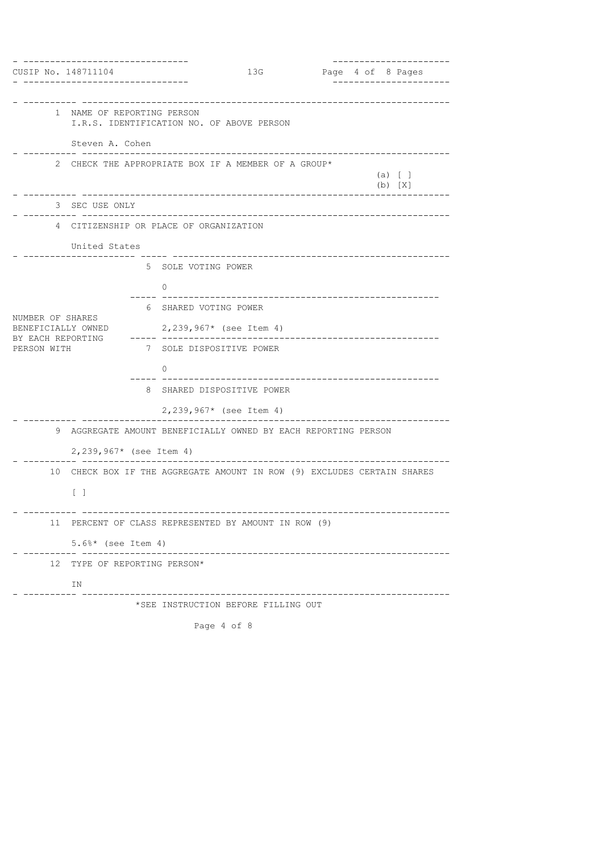| CUSIP No. 148711104                    |                                                                                                                |  |                                                     | 13G                                 |  |  |  |  | -------------------<br>Page 4 of 8 Pages |
|----------------------------------------|----------------------------------------------------------------------------------------------------------------|--|-----------------------------------------------------|-------------------------------------|--|--|--|--|------------------------------------------|
|                                        |                                                                                                                |  |                                                     |                                     |  |  |  |  |                                          |
|                                        | 1 NAME OF REPORTING PERSON<br>I.R.S. IDENTIFICATION NO. OF ABOVE PERSON                                        |  |                                                     |                                     |  |  |  |  |                                          |
|                                        | Steven A. Cohen                                                                                                |  |                                                     |                                     |  |  |  |  |                                          |
|                                        | 2 CHECK THE APPROPRIATE BOX IF A MEMBER OF A GROUP*<br>$(a)$ [ ]<br>$(b)$ $[X]$                                |  |                                                     |                                     |  |  |  |  |                                          |
|                                        | --------------------------------<br>3 SEC USE ONLY                                                             |  |                                                     |                                     |  |  |  |  |                                          |
|                                        | 4 CITIZENSHIP OR PLACE OF ORGANIZATION                                                                         |  |                                                     |                                     |  |  |  |  |                                          |
|                                        | United States                                                                                                  |  |                                                     |                                     |  |  |  |  |                                          |
|                                        |                                                                                                                |  | 5 SOLE VOTING POWER                                 | _____________________________       |  |  |  |  |                                          |
|                                        |                                                                                                                |  | 0                                                   |                                     |  |  |  |  |                                          |
|                                        |                                                                                                                |  | 6 SHARED VOTING POWER                               |                                     |  |  |  |  |                                          |
| NUMBER OF SHARES<br>BENEFICIALLY OWNED |                                                                                                                |  | $2,239,967*$ (see Item 4)                           |                                     |  |  |  |  |                                          |
| BY EACH REPORTING<br>PERSON WITH       |                                                                                                                |  | -----------------------<br>7 SOLE DISPOSITIVE POWER |                                     |  |  |  |  |                                          |
|                                        |                                                                                                                |  | $\Omega$                                            |                                     |  |  |  |  |                                          |
|                                        |                                                                                                                |  | 8 SHARED DISPOSITIVE POWER                          |                                     |  |  |  |  |                                          |
|                                        |                                                                                                                |  | 2,239,967* (see Item 4)                             |                                     |  |  |  |  |                                          |
| 9                                      | AGGREGATE AMOUNT BENEFICIALLY OWNED BY EACH REPORTING PERSON                                                   |  |                                                     |                                     |  |  |  |  |                                          |
|                                        | $2,239,967*$ (see Item 4)                                                                                      |  |                                                     |                                     |  |  |  |  |                                          |
|                                        | -----------------------------------<br>10 CHECK BOX IF THE AGGREGATE AMOUNT IN ROW (9) EXCLUDES CERTAIN SHARES |  |                                                     |                                     |  |  |  |  |                                          |
|                                        | $\begin{bmatrix} 1 \end{bmatrix}$                                                                              |  |                                                     |                                     |  |  |  |  |                                          |
|                                        | 11 PERCENT OF CLASS REPRESENTED BY AMOUNT IN ROW (9)                                                           |  |                                                     |                                     |  |  |  |  |                                          |
|                                        | $5.6\%*$ (see Item 4)                                                                                          |  |                                                     |                                     |  |  |  |  |                                          |
| 12                                     | TYPE OF REPORTING PERSON*                                                                                      |  |                                                     |                                     |  |  |  |  |                                          |
|                                        | ΙN                                                                                                             |  |                                                     |                                     |  |  |  |  |                                          |
|                                        |                                                                                                                |  |                                                     | *SEE INSTRUCTION BEFORE FILLING OUT |  |  |  |  |                                          |
|                                        |                                                                                                                |  | Page 4 of 8                                         |                                     |  |  |  |  |                                          |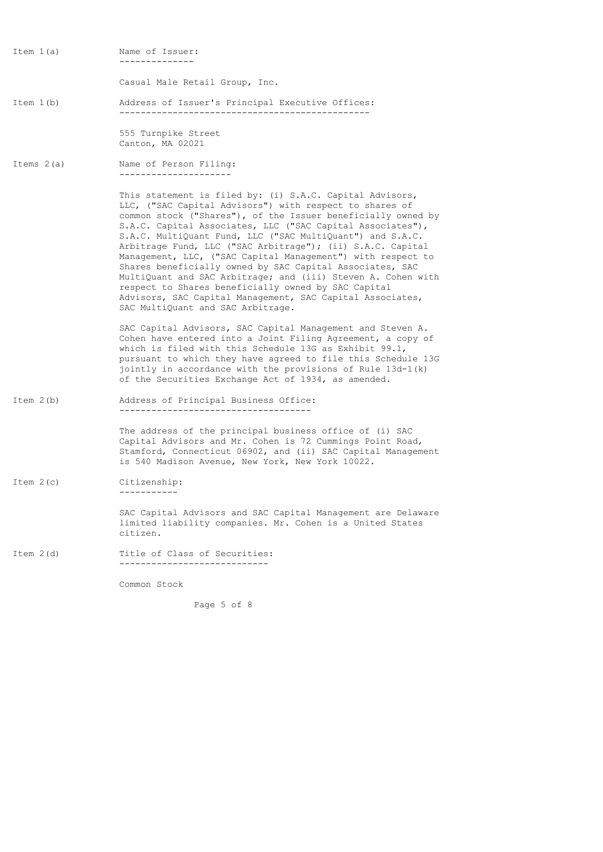Item 1(a) Name of Issuer: --------------

Casual Male Retail Group, Inc.

Item 1(b) Address of Issuer's Principal Executive Offices: -----------------------------------------------

> 555 Turnpike Street Canton, MA 02021

Items 2(a) Name of Person Filing: ---------------------

> This statement is filed by: (i) S.A.C. Capital Advisors, LLC, ("SAC Capital Advisors") with respect to shares of common stock ("Shares"), of the Issuer beneficially owned by S.A.C. Capital Associates, LLC ("SAC Capital Associates"), S.A.C. MultiQuant Fund, LLC ("SAC MultiQuant") and S.A.C. Arbitrage Fund, LLC ("SAC Arbitrage"); (ii) S.A.C. Capital Management, LLC, ("SAC Capital Management") with respect to Shares beneficially owned by SAC Capital Associates, SAC MultiQuant and SAC Arbitrage; and (iii) Steven A. Cohen with respect to Shares beneficially owned by SAC Capital Advisors, SAC Capital Management, SAC Capital Associates, SAC MultiQuant and SAC Arbitrage.

> SAC Capital Advisors, SAC Capital Management and Steven A. Cohen have entered into a Joint Filing Agreement, a copy of which is filed with this Schedule 13G as Exhibit 99.1, pursuant to which they have agreed to file this Schedule 13G jointly in accordance with the provisions of Rule 13d-1(k) of the Securities Exchange Act of 1934, as amended.

Item 2(b) Address of Principal Business Office: ------------------------------------

> The address of the principal business office of (i) SAC Capital Advisors and Mr. Cohen is 72 Cummings Point Road, Stamford, Connecticut 06902, and (ii) SAC Capital Management is 540 Madison Avenue, New York, New York 10022.

Item 2(c) Citizenship: -----------

> SAC Capital Advisors and SAC Capital Management are Delaware limited liability companies. Mr. Cohen is a United States citizen.

Item 2(d) Title of Class of Securities: ----------------------------

Common Stock

Page 5 of 8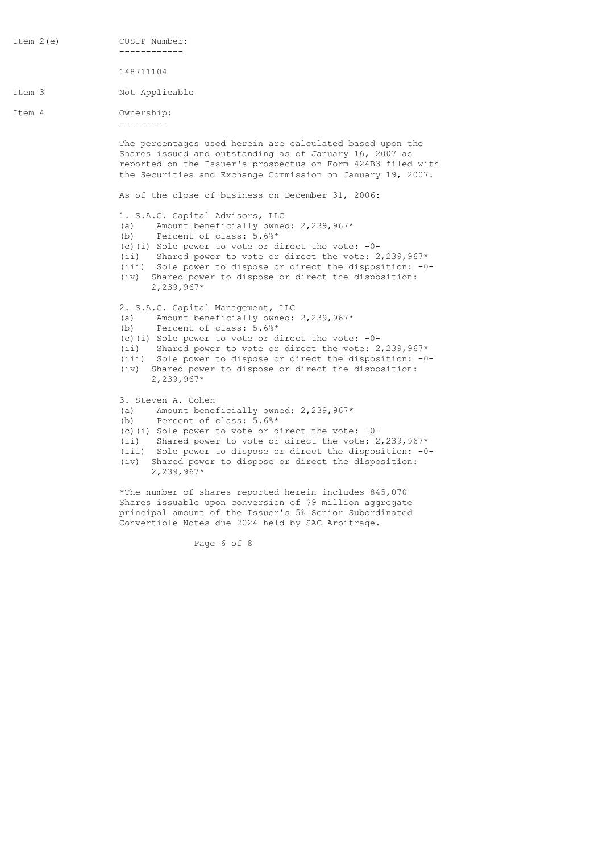Item 2(e) CUSIP Number: ------------ 148711104 Item 3 Not Applicable Item 4 Ownership: --------- The percentages used herein are calculated based upon the Shares issued and outstanding as of January 16, 2007 as reported on the Issuer's prospectus on Form 424B3 filed with the Securities and Exchange Commission on January 19, 2007. As of the close of business on December 31, 2006: 1. S.A.C. Capital Advisors, LLC (a) Amount beneficially owned:  $2,239,967*$  (b) Percent of class: 5.6%\* (c)(i) Sole power to vote or direct the vote: -0- (ii) Shared power to vote or direct the vote: 2,239,967\* (iii) Sole power to dispose or direct the disposition: -0- (iv) Shared power to dispose or direct the disposition: 2,239,967\* 2. S.A.C. Capital Management, LLC (a) Amount beneficially owned:  $2,239,967*$ (b) Percent of class:  $\bar{5.6}$   $\bar{6}$  \* (c)(i) Sole power to vote or direct the vote: -0- (ii) Shared power to vote or direct the vote: 2,239,967\* (iii) Sole power to dispose or direct the disposition: -0- (iv) Shared power to dispose or direct the disposition: 2,239,967\* 3. Steven A. Cohen (a) Amount beneficially owned: 2,239,967\* (b) Percent of class: 5.6%\* (c)(i) Sole power to vote or direct the vote: -0- (ii) Shared power to vote or direct the vote: 2,239,967\* (iii) Sole power to dispose or direct the disposition: -0- (iv) Shared power to dispose or direct the disposition: 2,239,967\*

> \*The number of shares reported herein includes 845,070 Shares issuable upon conversion of \$9 million aggregate principal amount of the Issuer's 5% Senior Subordinated Convertible Notes due 2024 held by SAC Arbitrage.

> > Page 6 of 8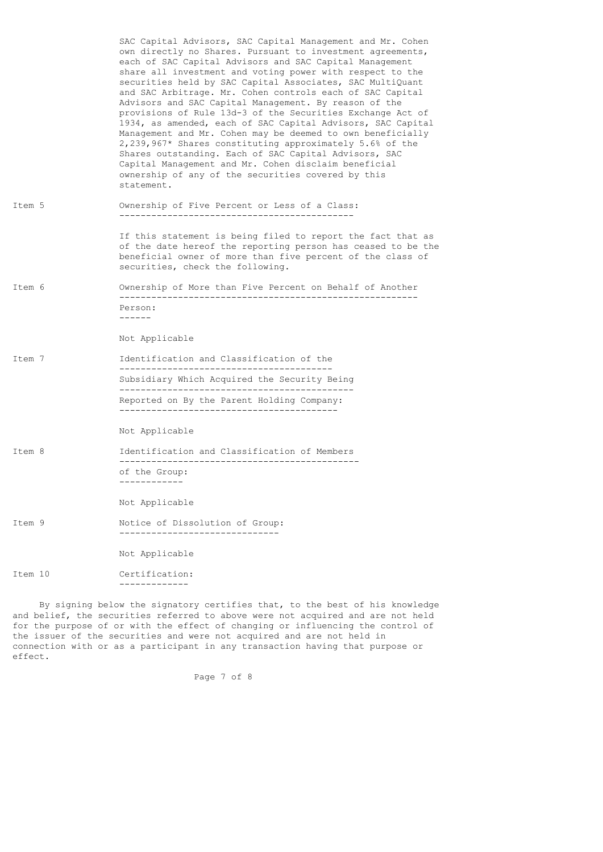|         | SAC Capital Advisors, SAC Capital Management and Mr. Cohen<br>own directly no Shares. Pursuant to investment agreements,<br>each of SAC Capital Advisors and SAC Capital Management<br>share all investment and voting power with respect to the<br>securities held by SAC Capital Associates, SAC MultiQuant<br>and SAC Arbitrage. Mr. Cohen controls each of SAC Capital<br>Advisors and SAC Capital Management. By reason of the<br>provisions of Rule 13d-3 of the Securities Exchange Act of<br>1934, as amended, each of SAC Capital Advisors, SAC Capital<br>Management and Mr. Cohen may be deemed to own beneficially<br>2,239,967* Shares constituting approximately 5.6% of the<br>Shares outstanding. Each of SAC Capital Advisors, SAC<br>Capital Management and Mr. Cohen disclaim beneficial<br>ownership of any of the securities covered by this<br>statement. |
|---------|---------------------------------------------------------------------------------------------------------------------------------------------------------------------------------------------------------------------------------------------------------------------------------------------------------------------------------------------------------------------------------------------------------------------------------------------------------------------------------------------------------------------------------------------------------------------------------------------------------------------------------------------------------------------------------------------------------------------------------------------------------------------------------------------------------------------------------------------------------------------------------|
| Item 5  | Ownership of Five Percent or Less of a Class:                                                                                                                                                                                                                                                                                                                                                                                                                                                                                                                                                                                                                                                                                                                                                                                                                                   |
|         | If this statement is being filed to report the fact that as<br>of the date hereof the reporting person has ceased to be the<br>beneficial owner of more than five percent of the class of<br>securities, check the following.                                                                                                                                                                                                                                                                                                                                                                                                                                                                                                                                                                                                                                                   |
| Item 6  | Ownership of More than Five Percent on Behalf of Another                                                                                                                                                                                                                                                                                                                                                                                                                                                                                                                                                                                                                                                                                                                                                                                                                        |
|         | Person:<br>-------                                                                                                                                                                                                                                                                                                                                                                                                                                                                                                                                                                                                                                                                                                                                                                                                                                                              |
|         | Not Applicable                                                                                                                                                                                                                                                                                                                                                                                                                                                                                                                                                                                                                                                                                                                                                                                                                                                                  |
| Item 7  | Identification and Classification of the<br>--------------------------------------                                                                                                                                                                                                                                                                                                                                                                                                                                                                                                                                                                                                                                                                                                                                                                                              |
|         | Subsidiary Which Acquired the Security Being                                                                                                                                                                                                                                                                                                                                                                                                                                                                                                                                                                                                                                                                                                                                                                                                                                    |
|         | Reported on By the Parent Holding Company:                                                                                                                                                                                                                                                                                                                                                                                                                                                                                                                                                                                                                                                                                                                                                                                                                                      |
|         | Not Applicable                                                                                                                                                                                                                                                                                                                                                                                                                                                                                                                                                                                                                                                                                                                                                                                                                                                                  |
| Item 8  | Identification and Classification of Members                                                                                                                                                                                                                                                                                                                                                                                                                                                                                                                                                                                                                                                                                                                                                                                                                                    |
|         | of the Group:<br>------------                                                                                                                                                                                                                                                                                                                                                                                                                                                                                                                                                                                                                                                                                                                                                                                                                                                   |
|         | Not Applicable                                                                                                                                                                                                                                                                                                                                                                                                                                                                                                                                                                                                                                                                                                                                                                                                                                                                  |
| Item 9  | Notice of Dissolution of Group:                                                                                                                                                                                                                                                                                                                                                                                                                                                                                                                                                                                                                                                                                                                                                                                                                                                 |
|         | Not Applicable                                                                                                                                                                                                                                                                                                                                                                                                                                                                                                                                                                                                                                                                                                                                                                                                                                                                  |
| Item 10 | Certification:<br>------------                                                                                                                                                                                                                                                                                                                                                                                                                                                                                                                                                                                                                                                                                                                                                                                                                                                  |

 By signing below the signatory certifies that, to the best of his knowledge and belief, the securities referred to above were not acquired and are not held for the purpose of or with the effect of changing or influencing the control of the issuer of the securities and were not acquired and are not held in connection with or as a participant in any transaction having that purpose or effect.

Page 7 of 8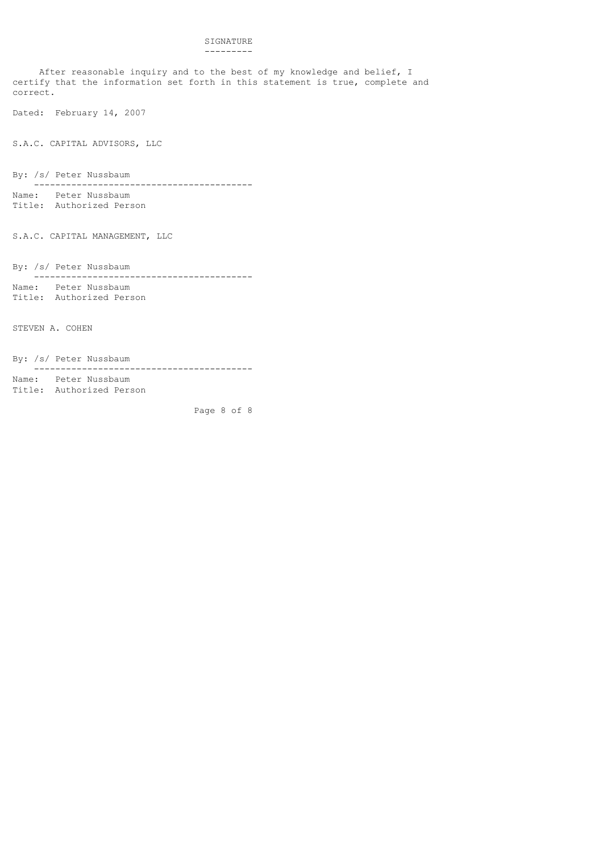## SIGNATURE ---------

 After reasonable inquiry and to the best of my knowledge and belief, I certify that the information set forth in this statement is true, complete and correct.

Dated: February 14, 2007

S.A.C. CAPITAL ADVISORS, LLC

By: /s/ Peter Nussbaum

 ----------------------------------------- Name: Peter Nussbaum

Title: Authorized Person

S.A.C. CAPITAL MANAGEMENT, LLC

By: /s/ Peter Nussbaum

 ----------------------------------------- Name: Peter Nussbaum Title: Authorized Person

STEVEN A. COHEN

By: /s/ Peter Nussbaum

-----------------------------------------

Name: Peter Nussbaum Title: Authorized Person

Page 8 of 8